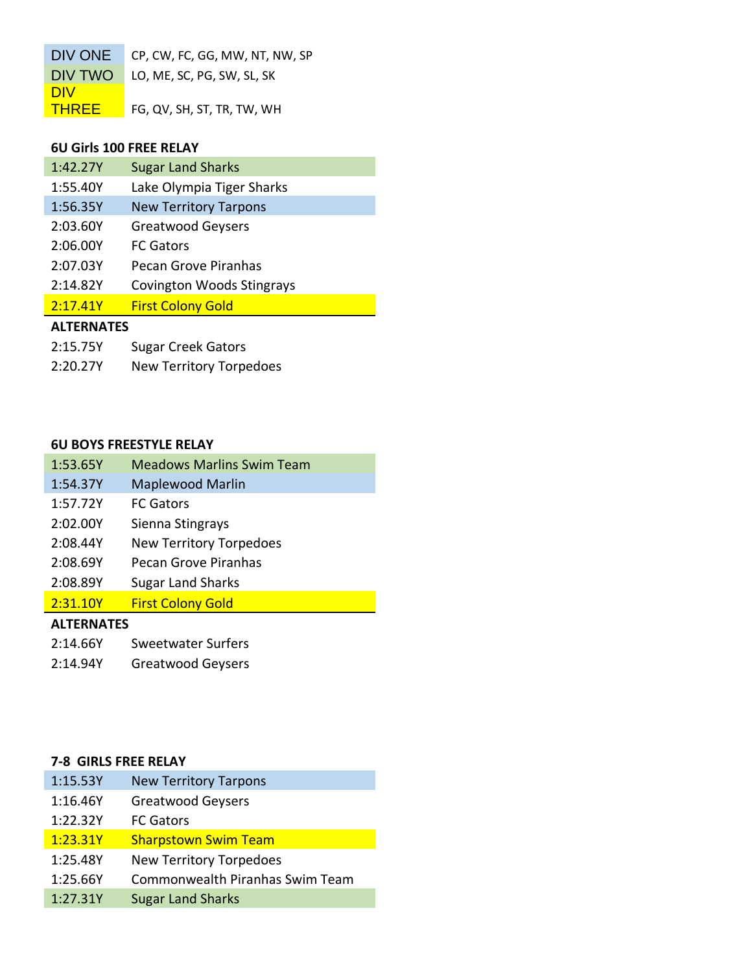| DIV ONE      | CP, CW, FC, GG, MW, NT, NW, SP |
|--------------|--------------------------------|
| DIV TWO      | LO, ME, SC, PG, SW, SL, SK     |
| <b>DIV</b>   |                                |
| <b>THREE</b> | FG, QV, SH, ST, TR, TW, WH     |

## **6U Girls 100 FREE RELAY**

| 1:42.27Y          | <b>Sugar Land Sharks</b>         |
|-------------------|----------------------------------|
| 1:55.40Y          | Lake Olympia Tiger Sharks        |
| 1:56.35Y          | <b>New Territory Tarpons</b>     |
| 2:03.60Y          | <b>Greatwood Geysers</b>         |
| 2:06.00Y          | <b>FC</b> Gators                 |
| 2:07.03Y          | Pecan Grove Piranhas             |
| 2:14.82Y          | <b>Covington Woods Stingrays</b> |
| 2:17.41Y          | <b>First Colony Gold</b>         |
| <b>ALTERNATES</b> |                                  |

2:20.27Y New Territory Torpedoes

## **6U BOYS FREESTYLE RELAY**

| 1:53.65Y          | <b>Meadows Marlins Swim Team</b> |
|-------------------|----------------------------------|
| 1:54.37Y          | <b>Maplewood Marlin</b>          |
| 1:57.72Y          | <b>FC</b> Gators                 |
| 2:02.00Y          | Sienna Stingrays                 |
| 2:08.44Y          | <b>New Territory Torpedoes</b>   |
| 2:08.69Y          | Pecan Grove Piranhas             |
| 2:08.89Y          | <b>Sugar Land Sharks</b>         |
| 2:31.10Y          | <b>First Colony Gold</b>         |
| <b>ALTERNATES</b> |                                  |
| 2:14.66Y          | <b>Sweetwater Surfers</b>        |

2:14.94Y Greatwood Geysers

### **7-8 GIRLS FREE RELAY**

| 1:15.53Y | <b>New Territory Tarpons</b>    |
|----------|---------------------------------|
| 1:16.46Y | <b>Greatwood Geysers</b>        |
| 1:22.32Y | <b>FC Gators</b>                |
| 1:23.31Y | <b>Sharpstown Swim Team</b>     |
| 1:25.48Y | <b>New Territory Torpedoes</b>  |
| 1:25.66Y | Commonwealth Piranhas Swim Team |
| 1:27.31Y | <b>Sugar Land Sharks</b>        |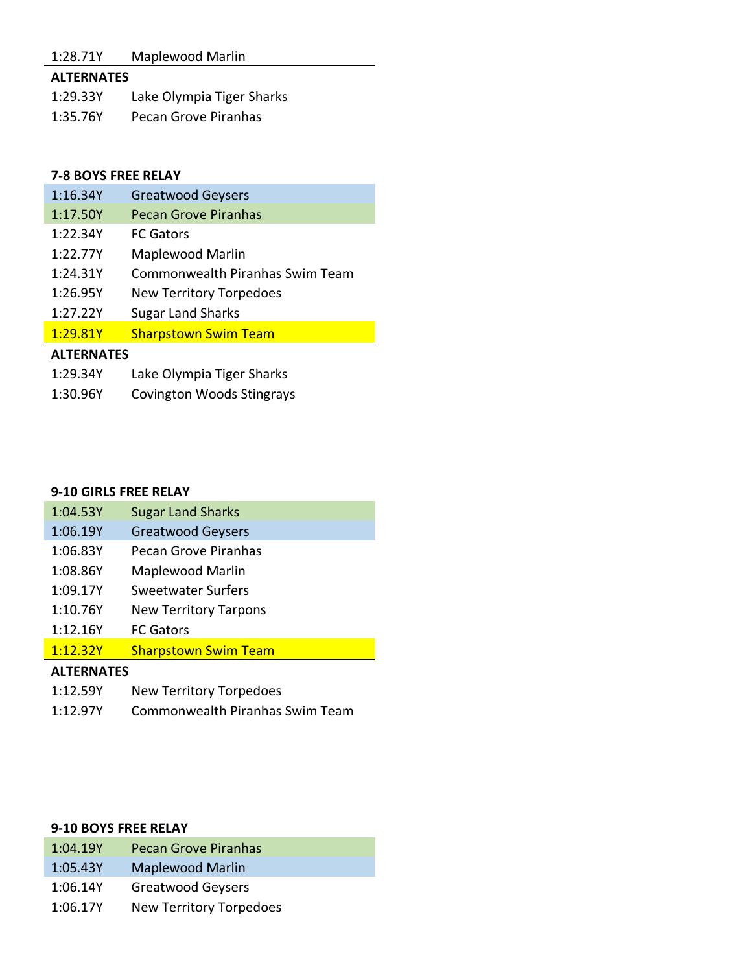## 1:28.71Y Maplewood Marlin

## **ALTERNATES**

1:29.33Y Lake Olympia Tiger Sharks 1:35.76Y Pecan Grove Piranhas

### **7-8 BOYS FREE RELAY**

| 1:16.34Y          | <b>Greatwood Geysers</b>               |
|-------------------|----------------------------------------|
| 1:17.50Y          | <b>Pecan Grove Piranhas</b>            |
| 1:22.34Y          | <b>FC Gators</b>                       |
| 1:22.77Y          | Maplewood Marlin                       |
| 1:24.31Y          | <b>Commonwealth Piranhas Swim Team</b> |
| 1:26.95Y          | <b>New Territory Torpedoes</b>         |
| 1:27.22Y          | <b>Sugar Land Sharks</b>               |
| 1:29.81Y          | <b>Sharpstown Swim Team</b>            |
| <b>ALTERNATES</b> |                                        |
| 1:29.34Y          | Lake Olympia Tiger Sharks              |

1:30.96Y Covington Woods Stingrays

#### **9-10 GIRLS FREE RELAY**

| <b>ALTERNATES</b> |                              |
|-------------------|------------------------------|
| 1:12.32Y          | <b>Sharpstown Swim Team</b>  |
| 1:12.16Y          | <b>FC Gators</b>             |
| 1:10.76Y          | <b>New Territory Tarpons</b> |
| 1:09.17Y          | <b>Sweetwater Surfers</b>    |
| 1:08.86Y          | Maplewood Marlin             |
| 1:06.83Y          | Pecan Grove Piranhas         |
| 1:06.19Y          | <b>Greatwood Geysers</b>     |
| 1:04.53Y          | <b>Sugar Land Sharks</b>     |

- 1:12.59Y New Territory Torpedoes
- 1:12.97Y Commonwealth Piranhas Swim Team

### **9-10 BOYS FREE RELAY**

| 1:04.19Y | <b>Pecan Grove Piranhas</b>    |
|----------|--------------------------------|
| 1:05.43Y | <b>Maplewood Marlin</b>        |
| 1:06.14Y | <b>Greatwood Geysers</b>       |
| 1:06.17Y | <b>New Territory Torpedoes</b> |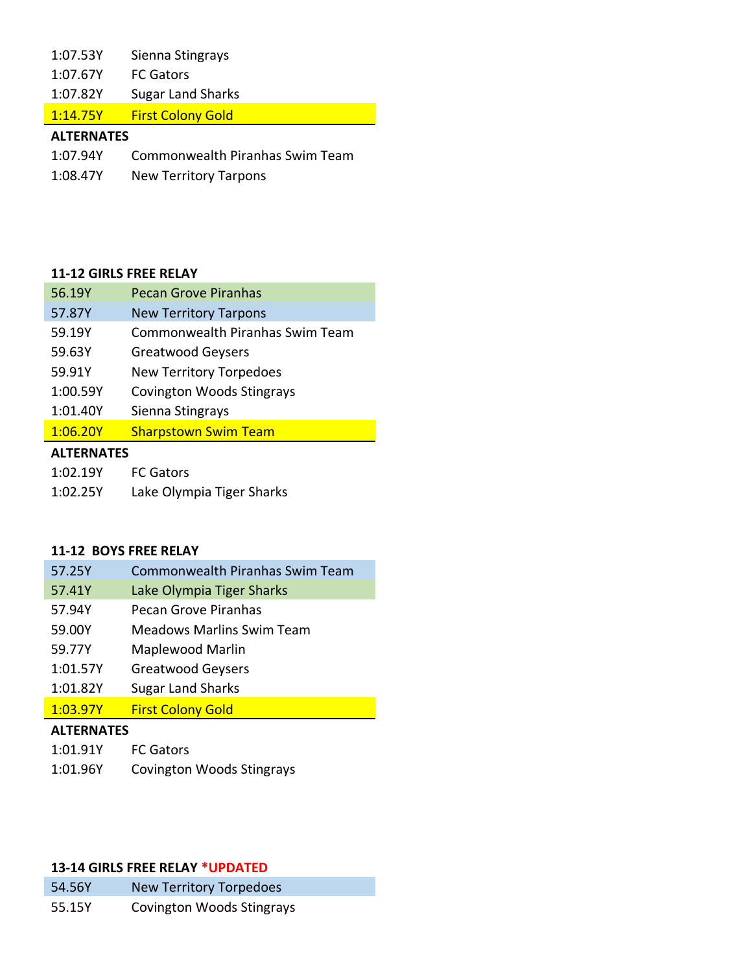| 1:07.53Y | Sienna Stingrays |
|----------|------------------|
|----------|------------------|

1:07.67Y FC Gators

1:07.82Y Sugar Land Sharks

1:14.75Y First Colony Gold

## **ALTERNATES**

- 1:07.94Y Commonwealth Piranhas Swim Team
- 1:08.47Y New Territory Tarpons

## **11-12 GIRLS FREE RELAY**

| 56.19Y            | <b>Pecan Grove Piranhas</b>            |
|-------------------|----------------------------------------|
| 57.87Y            | <b>New Territory Tarpons</b>           |
| 59.19Y            | <b>Commonwealth Piranhas Swim Team</b> |
| 59.63Y            | <b>Greatwood Geysers</b>               |
| 59.91Y            | <b>New Territory Torpedoes</b>         |
| 1:00.59Y          | <b>Covington Woods Stingrays</b>       |
| 1:01.40Y          | Sienna Stingrays                       |
| 1:06.20Y          | <b>Sharpstown Swim Team</b>            |
| <b>ALTERNATES</b> |                                        |
| 1:02.19Y          | <b>FC Gators</b>                       |

1:02.25Y Lake Olympia Tiger Sharks

## **11-12 BOYS FREE RELAY**

| 57.25Y        | <b>Commonwealth Piranhas Swim Team</b> |
|---------------|----------------------------------------|
| 57.41Y        | Lake Olympia Tiger Sharks              |
| 57.94Y        | Pecan Grove Piranhas                   |
| 59.00Y        | <b>Meadows Marlins Swim Team</b>       |
| 59.77Y        | Maplewood Marlin                       |
| 1:01.57Y      | <b>Greatwood Geysers</b>               |
| 1:01.82Y      | <b>Sugar Land Sharks</b>               |
| 1:03.97Y      | <b>First Colony Gold</b>               |
| 81 TEBBIA TEC |                                        |

### **ALTERNATES**

| 1:01.91Y | <b>FC Gators</b>                 |
|----------|----------------------------------|
| 1:01.96Y | <b>Covington Woods Stingrays</b> |

### **13-14 GIRLS FREE RELAY \*UPDATED**

| 54.56Y | <b>New Territory Torpedoes</b>   |
|--------|----------------------------------|
| 55.15Y | <b>Covington Woods Stingrays</b> |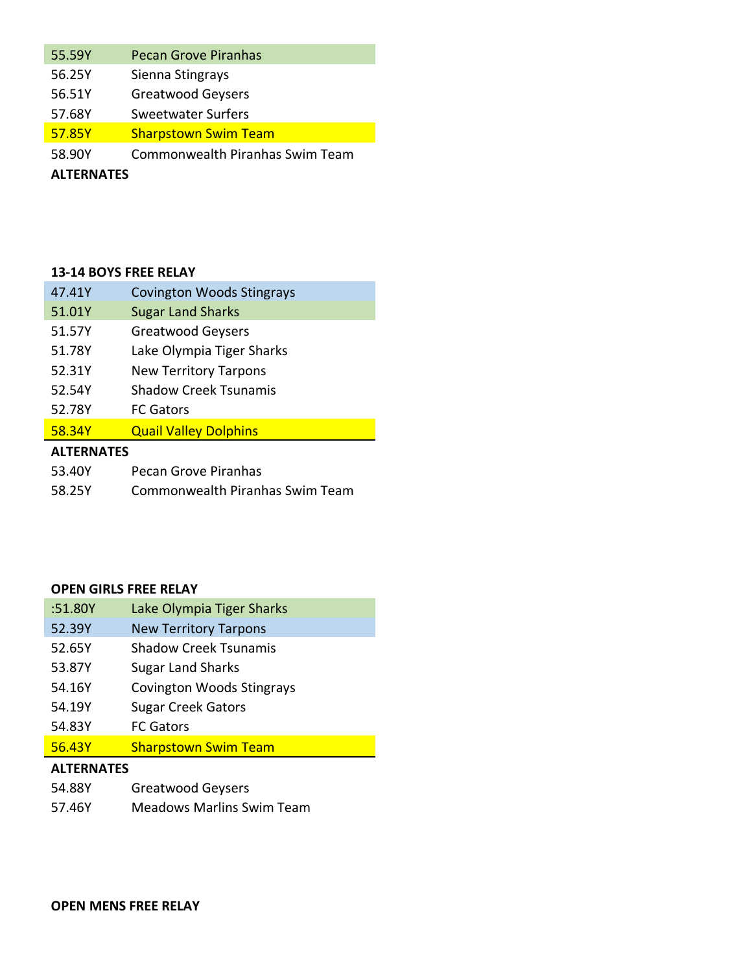| 55.59Y            | <b>Pecan Grove Piranhas</b>            |  |
|-------------------|----------------------------------------|--|
| 56.25Y            | Sienna Stingrays                       |  |
| 56.51Y            | <b>Greatwood Geysers</b>               |  |
| 57.68Y            | <b>Sweetwater Surfers</b>              |  |
| 57.85Y            | <b>Sharpstown Swim Team</b>            |  |
| 58.90Y            | <b>Commonwealth Piranhas Swim Team</b> |  |
| <b>ALTERNATES</b> |                                        |  |

### **13-14 BOYS FREE RELAY**

| 47.41Y            | <b>Covington Woods Stingrays</b> |  |
|-------------------|----------------------------------|--|
| 51.01Y            | <b>Sugar Land Sharks</b>         |  |
| 51.57Y            | <b>Greatwood Geysers</b>         |  |
| 51.78Y            | Lake Olympia Tiger Sharks        |  |
| 52.31Y            | <b>New Territory Tarpons</b>     |  |
| 52.54Y            | Shadow Creek Tsunamis            |  |
| 52.78Y            | <b>FC Gators</b>                 |  |
| 58.34Y            | <b>Quail Valley Dolphins</b>     |  |
| <b>ALTERNATES</b> |                                  |  |
| 53.40Y            | Pecan Grove Piranhas             |  |
| 58.25Y            | Commonwealth Piranhas Swim Team  |  |

### **OPEN GIRLS FREE RELAY**

| :51.80Y | Lake Olympia Tiger Sharks        |  |  |
|---------|----------------------------------|--|--|
| 52.39Y  | <b>New Territory Tarpons</b>     |  |  |
| 52.65Y  | <b>Shadow Creek Tsunamis</b>     |  |  |
| 53.87Y  | <b>Sugar Land Sharks</b>         |  |  |
| 54.16Y  | <b>Covington Woods Stingrays</b> |  |  |
| 54.19Y  | <b>Sugar Creek Gators</b>        |  |  |
| 54.83Y  | <b>FC Gators</b>                 |  |  |
| 56.43Y  | <b>Sharpstown Swim Team</b>      |  |  |
|         |                                  |  |  |

## **ALTERNATES**

- 54.88Y Greatwood Geysers
- 57.46Y Meadows Marlins Swim Team